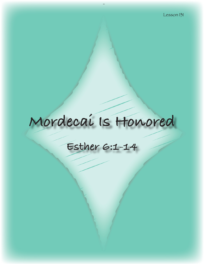# **Mordecai Is Honored**

# **Esther 6:1-14**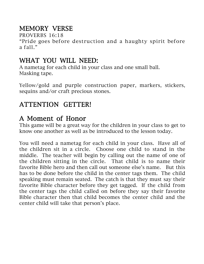# MEMORY VERSE

PROVERBS 16:18

"Pride goes before destruction and a haughty spirit before a fall."

# WHAT YOU WILL NEED:

A nametag for each child in your class and one small ball. Masking tape.

Yellow/gold and purple construction paper, markers, stickers, sequins and/or craft precious stones.

# ATTENTION GETTER!

# A Moment of Honor

This game will be a great way for the children in your class to get to know one another as well as be introduced to the lesson today.

You will need a nametag for each child in your class. Have all of the children sit in a circle. Choose one child to stand in the middle. The teacher will begin by calling out the name of one of the children sitting in the circle. That child is to name their favorite Bible hero and then call out someone else's name. But this has to be done before the child in the center tags them. The child speaking must remain seated. The catch is that they must say their favorite Bible character before they get tagged. If the child from the center tags the child called on before they say their favorite Bible character then that child becomes the center child and the center child will take that person's place.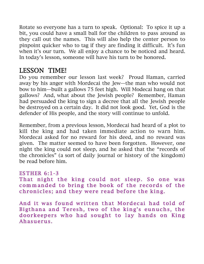Rotate so everyone has a turn to speak. Optional: To spice it up a bit, you could have a small ball for the children to pass around as they call out the names. This will also help the center person to pinpoint quicker who to tag if they are finding it difficult. It's fun when it's our turn. We all enjoy a chance to be noticed and heard. In today's lesson, someone will have his turn to be honored.

# LESSON TIME!

Do you remember our lesson last week? Proud Haman, carried away by his anger with Mordecai the Jew—the man who would not bow to him—built a gallows 75 feet high. Will Modecai hang on that gallows? And, what about the Jewish people? Remember, Haman had persuaded the king to sign a decree that all the Jewish people be destroyed on a certain day. It did not look good. Yet, God is the defender of His people, and the story will continue to unfold.

Remember, from a previous lesson, Mordecai had heard of a plot to kill the king and had taken immediate action to warn him. Mordecai asked for no reward for his deed, and no reward was given. The matter seemed to have been forgotten. However, one night the king could not sleep, and he asked that the "records of the chronicles" (a sort of daily journal or history of the kingdom) be read before him.

### ES THER 6:1-3

That night the king could not sleep. So one was commanded to bring the book of the records of the chronicles; and they were read before the king.

And it was found written that Mordecai had told of Bigthana and Teresh, two of the king's eunuchs, the doorkeepers who had sought to lay hands on King Ahasuerus .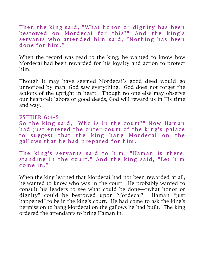Then the king said, "What honor or dignity has been bestowed on Mordecai for this?" And the king's servants who attended him said, "Nothing has been done for him."

When the record was read to the king, he wanted to know how Mordecai had been rewarded for his loyalty and action to protect him.

Though it may have seemed Mordecai's good deed would go unnoticed by man, God saw everything. God does not forget the actions of the upright in heart. Though no one else may observe our heart-felt labors or good deeds, God will reward us in His time and way.

#### ES THER 6:4-5

So the king said, "Who is in the court?" Now Haman had just entered the outer court of the king's palace to suggest that the king hang Mordecai on the gallows that he had prepared for him.

The king's servants said to him, "Haman is there, standing in the court." And the king said, "Let him c om e in. "

When the king learned that Mordecai had not been rewarded at all, he wanted to know who was in the court. He probably wanted to consult his leaders to see what could be done—"what honor or dignity" could be bestowed upon Mordecai? Haman "just happened" to be in the king's court. He had come to ask the king's permission to hang Mordecai on the gallows he had built. The king ordered the attendants to bring Haman in.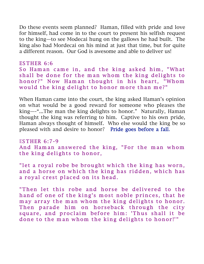Do these events seem planned? Haman, filled with pride and love for himself, had come in to the court to present his selfish request to the king—to see Modecai hung on the gallows he had built. The king also had Mordecai on his mind at just that time, but for quite a different reason. Our God is awesome and able to deliver us!

#### ES THER 6:6

So Haman came in, and the king asked him, "What shall be done for the man whom the king delights to honor?" Now Haman thought in his heart, "Whom would the king delight to honor more than me?"

When Haman came into the court, the king asked Haman's opinion on what would be a good reward for someone who pleases the king—-"...The man the king delights to honor." Naturally, Haman thought the king was referring to him. Captive to his own pride, Haman always thought of himself. Who else would the king be so pleased with and desire to honor? Pride goes before a fall.

ES THER 6:7-9 And Haman answered the king, "For the man whom the king delights to honor,

" let a royal robe be brought which the king has worn, and a horse on which the king has ridden, which has a royal crest placed on its head.

"Then let this robe and horse be delivered to the hand of one of the king's most noble princes, that he may array the man whom the king delights to honor. Then parade him on horseback through the city square, and proclaim before him: 'Thus shall it be done to the man whom the king delights to honor!'"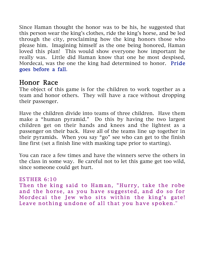Since Haman thought the honor was to be his, he suggested that this person wear the king's clothes, ride the king's horse, and be led through the city, proclaiming how the king honors those who please him. Imagining himself as the one being honored, Haman loved this plan! This would show everyone how important he really was. Little did Haman know that one he most despised, Mordecai, was the one the king had determined to honor. Pride goes before a fall.

## Honor Race

The object of this game is for the children to work together as a team and honor others. They will have a race without dropping their passenger.

Have the children divide into teams of three children. Have them make a "human pyramid." Do this by having the two largest children get on their hands and knees and the lightest as a passenger on their back. Have all of the teams line up together in their pyramids. When you say "go" see who can get to the finish line first (set a finish line with masking tape prior to starting).

You can race a few times and have the winners serve the others in the class in some way. Be careful not to let this game get too wild, since someone could get hurt.

#### ES THER 6:10

Then the king said to Haman, "Hurry, take the robe and the horse, as you have suggested, and do so for Mordecai the Jew who sits within the king's gate! Leave nothing undone of all that you have spoken."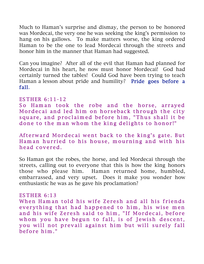Much to Haman's surprise and dismay, the person to be honored was Mordecai, the very one he was seeking the king's permission to hang on his gallows. To make matters worse, the king ordered Haman to be the one to lead Mordecai through the streets and honor him in the manner that Haman had suggested.

Can you imagine? After all of the evil that Haman had planned for Mordecai in his heart, he now must honor Mordecai! God had certainly turned the tables! Could God have been trying to teach Haman a lesson about pride and humility? Pride goes before a fall.

#### ES THER 6:11-12

So Haman took the robe and the horse, arrayed Mordecai and led him on horseback through the city square, and proclaimed before him, "Thus shall it be done to the man whom the king delights to honor!"

Afterward Mordecai went back to the king's gate. But Ham an hurried to his house, mourning and with his head covered.

So Haman got the robes, the horse, and led Mordecai through the streets, calling out to everyone that this is how the king honors those who please him. Haman returned home, humbled, embarrassed, and very upset. Does it make you wonder how enthusiastic he was as he gave his proclamation?

#### ES THER 6:13

When Ham an told his wife Zeresh and all his friends everything that had happened to him, his wise men and his wife Zeresh said to him, "If Mordecai, before whom you have begun to fall, is of Jewish descent, you will not prevail against him but will surely fall before him."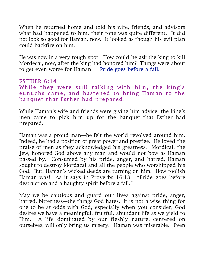When he returned home and told his wife, friends, and advisors what had happened to him, their tone was quite different. It did not look so good for Haman, now. It looked as though his evil plan could backfire on him.

He was now in a very tough spot. How could he ask the king to kill Mordecai, now, after the king had honored him? Things were about to get even worse for Haman! Pride goes before a fall.

#### ES THER 6:14 While they were still talking with him, the king's eunuchs came, and hastened to bring Haman to the banquet that Esther had prepared.

While Haman's wife and friends were giving him advice, the king's men came to pick him up for the banquet that Esther had prepared.

Haman was a proud man—he felt the world revolved around him. Indeed, he had a position of great power and prestige. He loved the praise of men as they acknowledged his greatness. Mordicai, the Jew, honored God above any man and would not bow as Haman passed by. Consumed by his pride, anger, and hatred, Haman sought to destroy Mordacai and all the people who worshipped his God. But, Haman's wicked deeds are turning on him. How foolish Haman was! As it says in Proverbs 16:18: "Pride goes before destruction and a haughty spirit before a fall."

May we be cautious and guard our lives against pride, anger, hatred, bitterness—the things God hates. It is not a wise thing for one to be at odds with God, especially when you consider, God desires we have a meaningful, fruitful, abundant life as we yield to Him. A life dominated by our fleshly nature, centered on ourselves, will only bring us misery. Haman was miserable. Even